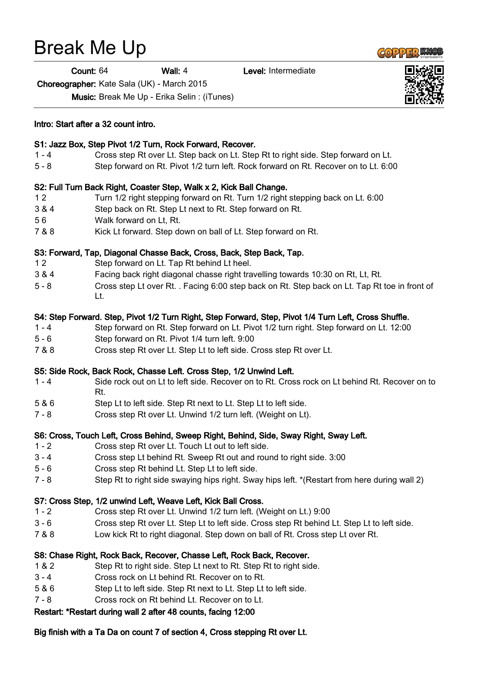# Break Me Up

Count: 64 Wall: 4 Level: Intermediate

Choreographer: Kate Sala (UK) - March 2015

Music: Break Me Up - Erika Selin : (iTunes)

## Intro: Start after a 32 count intro. S1: Jazz Box, Step Pivot 1/2 Turn, Rock Forward, Recover. 1 - 4 Cross step Rt over Lt. Step back on Lt. Step Rt to right side. Step forward on Lt. 5 - 8 Step forward on Rt. Pivot 1/2 turn left. Rock forward on Rt. Recover on to Lt. 6:00 S2: Full Turn Back Right, Coaster Step, Walk x 2, Kick Ball Change. 1 2 Turn 1/2 right stepping forward on Rt. Turn 1/2 right stepping back on Lt. 6:00 3 & 4 Step back on Rt. Step Lt next to Rt. Step forward on Rt. 5 6 Walk forward on Lt, Rt. 7 & 8 Kick Lt forward. Step down on ball of Lt. Step forward on Rt. S3: Forward, Tap, Diagonal Chasse Back, Cross, Back, Step Back, Tap. 1 2 Step forward on Lt. Tap Rt behind Lt heel. 3 & 4 Facing back right diagonal chasse right travelling towards 10:30 on Rt, Lt, Rt. 5 - 8 Cross step Lt over Rt. . Facing 6:00 step back on Rt. Step back on Lt. Tap Rt toe in front of Lt. S4: Step Forward. Step, Pivot 1/2 Turn Right, Step Forward, Step, Pivot 1/4 Turn Left, Cross Shuffle. 1 - 4 Step forward on Rt. Step forward on Lt. Pivot 1/2 turn right. Step forward on Lt. 12:00 5 - 6 Step forward on Rt. Pivot 1/4 turn left. 9:00 7 & 8 Cross step Rt over Lt. Step Lt to left side. Cross step Rt over Lt. S5: Side Rock, Back Rock, Chasse Left. Cross Step, 1/2 Unwind Left. 1 - 4 Side rock out on Lt to left side. Recover on to Rt. Cross rock on Lt behind Rt. Recover on to Rt. 5 & 6 Step Lt to left side. Step Rt next to Lt. Step Lt to left side. 7 - 8 Cross step Rt over Lt. Unwind 1/2 turn left. (Weight on Lt). S6: Cross, Touch Left, Cross Behind, Sweep Right, Behind, Side, Sway Right, Sway Left. 1 - 2 Cross step Rt over Lt. Touch Lt out to left side. 3 - 4 Cross step Lt behind Rt. Sweep Rt out and round to right side. 3:00 5 - 6 Cross step Rt behind Lt. Step Lt to left side. 7 - 8 Step Rt to right side swaying hips right. Sway hips left. \*(Restart from here during wall 2) S7: Cross Step, 1/2 unwind Left, Weave Left, Kick Ball Cross. 1 - 2 Cross step Rt over Lt. Unwind 1/2 turn left. (Weight on Lt.) 9:00 3 - 6 Cross step Rt over Lt. Step Lt to left side. Cross step Rt behind Lt. Step Lt to left side. 7 & 8 Low kick Rt to right diagonal. Step down on ball of Rt. Cross step Lt over Rt.

#### S8: Chase Right, Rock Back, Recover, Chasse Left, Rock Back, Recover.

- 1 & 2 Step Rt to right side. Step Lt next to Rt. Step Rt to right side.
- 3 4 Cross rock on Lt behind Rt. Recover on to Rt.
- 5 & 6 Step Lt to left side. Step Rt next to Lt. Step Lt to left side.
- 7 8 Cross rock on Rt behind Lt. Recover on to Lt.

#### Restart: \*Restart during wall 2 after 48 counts, facing 12:00

### Big finish with a Ta Da on count 7 of section 4, Cross stepping Rt over Lt.